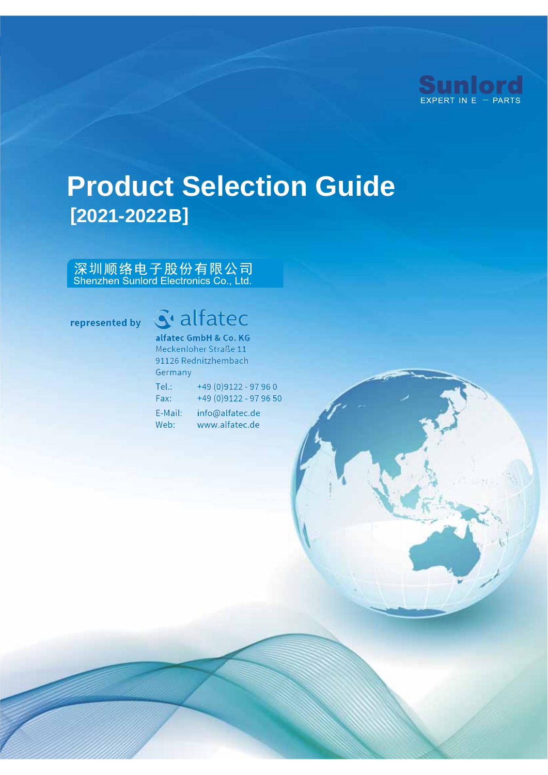

# **Product Selection Guide [2021-2022 B]**

# 深圳顺络电子股份有限公司<br>Shenzhen Sunlord Electronics Co., Ltd.

#### represented by

# S' alfatec

alfatec GmbH & Co. KG Meckenloher Straße 11 91126 Rednitzhembach Germany

| Tel:    | +49 (0) 9122 - 97 96 0  |
|---------|-------------------------|
| Fax:    | +49 (0) 9122 - 97 96 50 |
| E-Mail: | info@alfatec.de         |
| Web:    | www.alfatec.de          |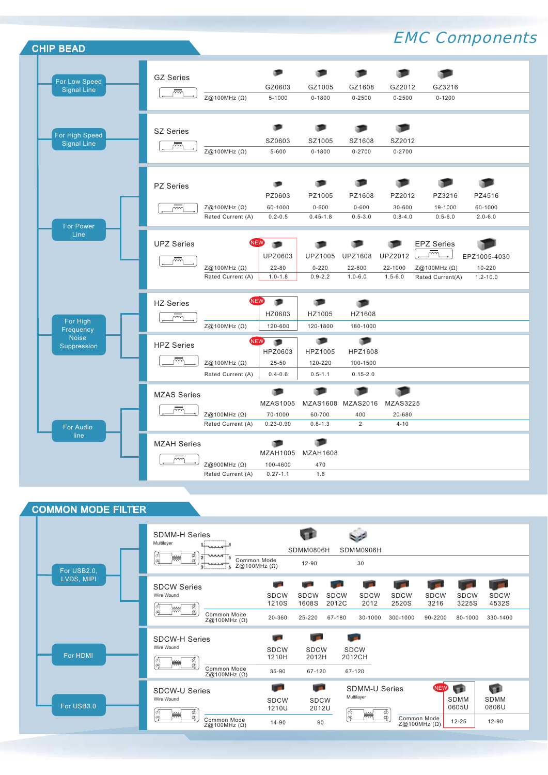

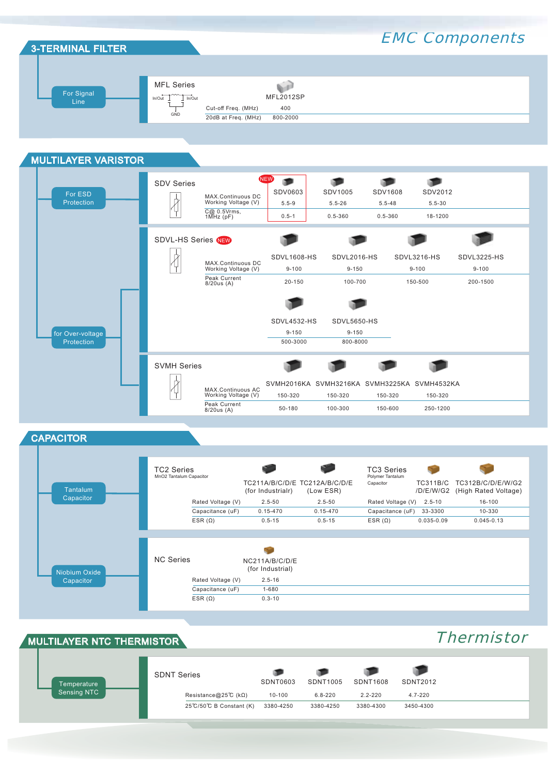

#### MULTILAYER VARISTOR NEW Ф о ₱ SDV Series о SDV0603 SDV1005 SDV1608 SDV2012 For ESD  $\overline{\mathcal{A}}$  5.5-9 5.5-26 5.5-48 5.5-30 MAX.Continuous DC Working Voltage (V) Protection C@ 0.5Vrms, 1MHz (pF) 0.5-1 0.5-360 0.5-360 18-1200 œ SDVL-HS Series NEW  $\frac{1}{4}$ SDVL1608-HS SDVL2016-HS SDVL3216-HS SDVL3225-HS MAX.Continuous DC<br>Working Voltage (V) 9-100 9-150 9-100 9-100 Peak Current 8/20us (A) 20-150 100-700 150-500 200-1500 œ ● SDVL4532-HS SDVL5650-HS for Over-voltage 9-150 9-150 500-3000 800-8000 Protection SVMH Series P m  $\frac{1}{4}$ SVMH2016KA SVMH3216KA SVMH3225KA SVMH4532KA MAX.Continuous AC<br>Working Voltage (V) 150-320 150-320 150-320 150-320

Peak Current 8/20us (A)

**CAPACITOR** 



50-180 100-300 150-600 250-1200

#### MULTILAYER NTC THERMISTOR

### **Thermistor**

| Temperature        | <b>SDNT Series</b>                            | SDNT0603   | SDNT1005    | <b>SDNT1608</b> | SDNT2012    |
|--------------------|-----------------------------------------------|------------|-------------|-----------------|-------------|
| <b>Sensing NTC</b> | Resistance@25°C (k $\Omega$ )                 | $10 - 100$ | $6.8 - 220$ | $2.2 - 220$     | $4.7 - 220$ |
|                    | $25^{\circ}$ C/50 $^{\circ}$ C B Constant (K) | 3380-4250  | 3380-4250   | 3380-4300       | 3450-4300   |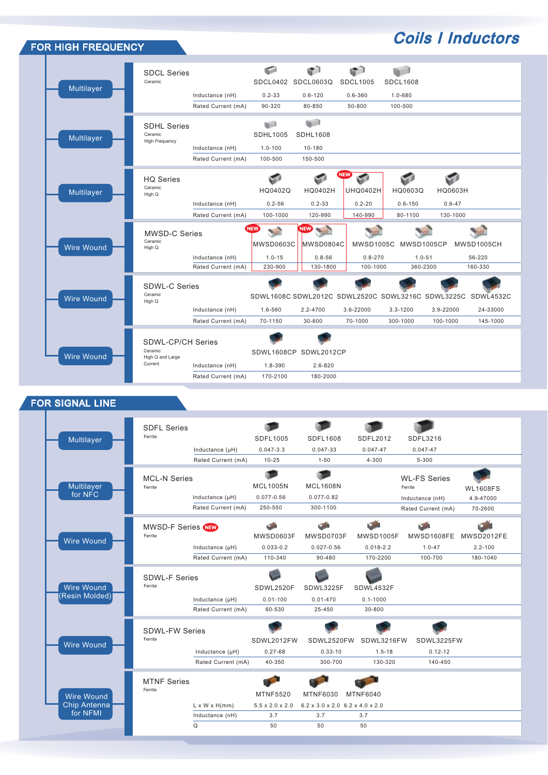| FOR HIGH FREQUENCY |                                                                    |                                       |                                                 |                                                       |                                                       |                                                                               |                                               | <b>Coils   Inductors</b>          |
|--------------------|--------------------------------------------------------------------|---------------------------------------|-------------------------------------------------|-------------------------------------------------------|-------------------------------------------------------|-------------------------------------------------------------------------------|-----------------------------------------------|-----------------------------------|
| Multilayer         | <b>SDCL Series</b><br>Ceramic                                      | Inductance (nH)<br>Rated Current (mA) | ◒<br>SDCL0402<br>$0.2 - 33$<br>90-320           | Œ٦<br>SDCL0603Q<br>$0.6 - 120$<br>80-850              | $\bullet$<br><b>SDCL1005</b><br>$0.6 - 360$<br>50-800 | <b>SDCL1608</b><br>1.0-680<br>100-500                                         |                                               |                                   |
| Multilayer         | <b>SDHL Series</b><br>Ceramic<br><b>High Frequency</b>             | Inductance (nH)<br>Rated Current (mA) | u)<br><b>SDHL1005</b><br>$1.0 - 100$<br>100-500 | <b>GP</b><br><b>SDHL1608</b><br>$10 - 180$<br>150-500 |                                                       |                                                                               |                                               |                                   |
| Multilayer         | <b>HQ Series</b><br>Ceramic<br>High Q                              | Inductance (nH)<br>Rated Current (mA) | ਵਾ<br>HQ0402Q<br>$0.2 - 56$<br>100-1000         | HQ0402H<br>$0.2 - 33$<br>120-990                      | NEW)<br>S<br><b>UHQ0402H</b><br>$0.2 - 20$<br>140-990 | HQ0603Q<br>$0.6 - 150$<br>80-1100                                             | S<br><b>HQ0603H</b><br>$0.6 - 47$<br>130-1000 |                                   |
| <b>Wire Wound</b>  | <b>MWSD-C Series</b><br>Ceramic<br>High Q                          | Inductance (nH)<br>Rated Current (mA) | NEW<br>S.<br>MWSD0603C<br>$1.0 - 15$<br>230-900 | <b>NEW</b><br>MWSD0804C<br>$0.8 - 56$<br>130-1800     | MWSD1005C<br>$0.8 - 270$<br>100-1000                  | MWSD1005CP<br>$1.0 - 51$<br>360-2300                                          |                                               | MWSD1005CH<br>56-220<br>160-330   |
| <b>Wire Wound</b>  | <b>SDWL-C Series</b><br>Ceramic<br>High Q                          | Inductance (nH)<br>Rated Current (mA) | 1.6-560<br>70-1150                              | 2.2-4700<br>30-600                                    | 3.6-22000<br>70-1000                                  | SDWL1608C SDWL2012C SDWL2520C SDWL3216C SDWL3225C<br>$3.3 - 1200$<br>300-1000 | 3.9-22000<br>100-1000                         | SDWL4532C<br>24-33000<br>145-1000 |
| <b>Wire Wound</b>  | <b>SDWL-CP/CH Series</b><br>Ceramic<br>High Q and Large<br>Current | Inductance (nH)<br>Rated Current (mA) | 1.8-390<br>170-2100                             | SDWL1608CP SDWL2012CP<br>$2.6 - 820$<br>180-2000      |                                                       |                                                                               |                                               |                                   |

### FOR SIGNAL LINE

|                          | <b>SDFL Series</b><br>Ferrite   |                           |                             |                                 |                  |                     |                 |
|--------------------------|---------------------------------|---------------------------|-----------------------------|---------------------------------|------------------|---------------------|-----------------|
| Multilayer               |                                 |                           | SDFL1005                    | SDFL1608                        | SDFL2012         | SDFL3216            |                 |
|                          |                                 | Inductance (µH)           | $0.047 - 3.3$               | $0.047 - 33$                    | $0.047 - 47$     | $0.047 - 47$        |                 |
|                          |                                 | Rated Current (mA)        | $10 - 25$                   | $1 - 50$                        | $4 - 300$        | 5-300               |                 |
|                          | <b>MCL-N Series</b>             |                           | <b>MCL1005N</b>             | <b>MCL1608N</b>                 |                  | <b>WL-FS Series</b> |                 |
| Multilayer<br>for NFC    | Ferrite                         |                           |                             |                                 |                  | Ferrite             | <b>WL1608FS</b> |
|                          |                                 | Inductance (µH)           | $0.077 - 0.56$              | $0.077 - 0.82$                  |                  | Inductance (nH)     | 4.9-47000       |
|                          |                                 | Rated Current (mA)        | 250-550                     | 300-1100                        |                  | Rated Current (mA)  | 70-2600         |
|                          | MWSD-F Series NEW               |                           |                             |                                 |                  |                     |                 |
| <b>Wire Wound</b>        | Ferrite                         |                           | MWSD0603F                   | MWSD0703F                       | <b>MWSD1005F</b> | MWSD1608FE          | MWSD2012FE      |
|                          |                                 | Inductance (µH)           | $0.033 - 0.2$               | $0.027 - 0.56$                  | $0.018 - 2.2$    | $1.0 - 47$          | $2.2 - 100$     |
|                          |                                 | Rated Current (mA)        | 110-340                     | 90-480                          | 170-2200         | 100-700             | 180-1040        |
| <b>Wire Wound</b>        | <b>SDWL-F Series</b><br>Ferrite |                           | SDWL2520F                   | SDWL3225F                       | SDWL4532F        |                     |                 |
| (Resin Molded)           |                                 |                           |                             |                                 |                  |                     |                 |
|                          |                                 | Inductance (µH)           | $0.01 - 100$                | $0.01 - 470$                    | $0.1 - 1000$     |                     |                 |
|                          |                                 | Rated Current (mA)        | 60-530                      | 25-450                          | 30-800           |                     |                 |
|                          | SDWI-FW Series                  |                           |                             |                                 |                  |                     |                 |
| <b>Wire Wound</b>        | Ferrite                         |                           | SDWL2012FW                  | SDWL2520FW                      | SDWL3216FW       | SDWL3225FW          |                 |
|                          |                                 | Inductance (µH)           | $0.27 - 68$                 | $0.33 - 10$                     | $1.5 - 18$       | $0.12 - 12$         |                 |
|                          |                                 | Rated Current (mA)        | 40-350                      | 300-700                         | 130-320          | 140-450             |                 |
|                          | <b>MTNF Series</b>              |                           |                             |                                 |                  |                     |                 |
|                          | Ferrite                         |                           | <b>MTNF5520</b>             | <b>MTNF6030</b>                 |                  |                     |                 |
| <b>Wire Wound</b>        |                                 |                           |                             |                                 | <b>MTNF6040</b>  |                     |                 |
| Chip Antenna<br>for NFMI |                                 | $L \times W \times H(mm)$ | $5.5 \times 2.0 \times 2.0$ | 6.2 x 3.0 x 2.0 6.2 x 4.0 x 2.0 |                  |                     |                 |
|                          |                                 | Inductance (nH)           | 3.7                         | 3.7                             | 3.7              |                     |                 |
|                          |                                 | Q                         | 50                          | 50                              | 50               |                     |                 |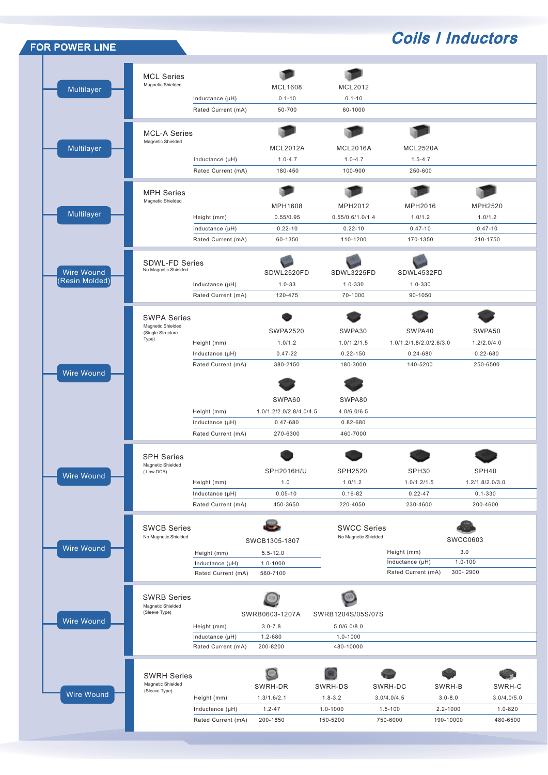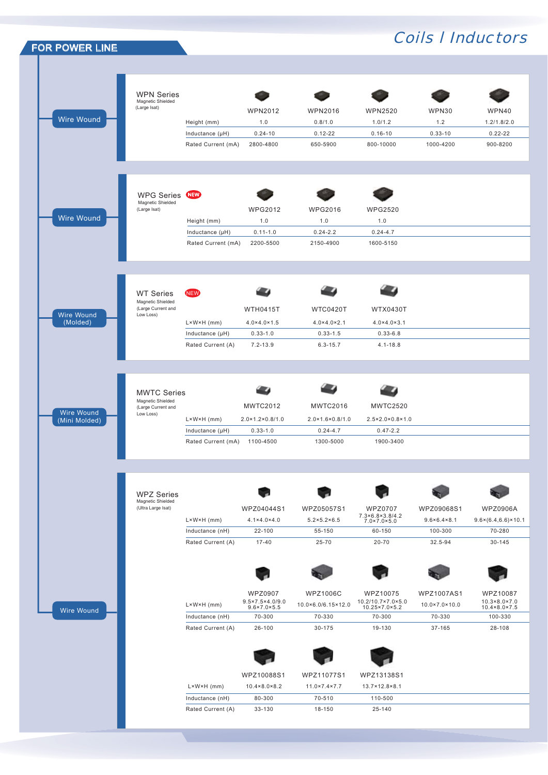| <b>FOR POWER LINE</b> |                                         |                            |                                                |                                            |                                                                  |                             | <b>Coils I Inductors</b>                       |
|-----------------------|-----------------------------------------|----------------------------|------------------------------------------------|--------------------------------------------|------------------------------------------------------------------|-----------------------------|------------------------------------------------|
|                       |                                         |                            |                                                |                                            |                                                                  |                             |                                                |
|                       |                                         |                            |                                                |                                            |                                                                  |                             |                                                |
|                       | <b>WPN Series</b><br>Magnetic Shielded  |                            |                                                |                                            |                                                                  |                             |                                                |
|                       | (Large Isat)                            |                            | <b>WPN2012</b>                                 | <b>WPN2016</b>                             | <b>WPN2520</b>                                                   | WPN30                       | WPN40                                          |
| <b>Wire Wound</b>     |                                         | Height (mm)                | 1.0                                            | 0.8/1.0                                    | 1.0/1.2                                                          | 1.2                         | 1.2/1.8/2.0                                    |
|                       |                                         | Inductance (µH)            | $0.24 - 10$                                    | $0.12 - 22$                                | $0.16 - 10$                                                      | $0.33 - 10$                 | $0.22 - 22$                                    |
|                       |                                         | Rated Current (mA)         | 2800-4800                                      | 650-5900                                   | 800-10000                                                        | 1000-4200                   | 900-8200                                       |
|                       |                                         |                            |                                                |                                            |                                                                  |                             |                                                |
|                       | <b>WPG Series</b>                       | (NEW)                      |                                                |                                            |                                                                  |                             |                                                |
|                       | Magnetic Shielded<br>(Large Isat)       |                            | <b>WPG2012</b>                                 | <b>WPG2016</b>                             | <b>WPG2520</b>                                                   |                             |                                                |
| Wire Wound            |                                         | Height (mm)                | 1.0                                            | 1.0                                        | 1.0                                                              |                             |                                                |
|                       |                                         | Inductance (µH)            | $0.11 - 1.0$                                   | $0.24 - 2.2$                               | $0.24 - 4.7$                                                     |                             |                                                |
|                       |                                         | Rated Current (mA)         | 2200-5500                                      | 2150-4900                                  | 1600-5150                                                        |                             |                                                |
|                       |                                         |                            |                                                |                                            |                                                                  |                             |                                                |
|                       |                                         | <b>NEW</b>                 |                                                |                                            |                                                                  |                             |                                                |
|                       | <b>WT Series</b><br>Magnetic Shielded   |                            |                                                |                                            |                                                                  |                             |                                                |
| Wire Wound            | (Large Current and<br>Low Loss)         |                            | <b>WTH0415T</b>                                | <b>WTC0420T</b>                            | <b>WTX0430T</b>                                                  |                             |                                                |
| (Molded)              |                                         | $L \times W \times H$ (mm) | $4.0 \times 4.0 \times 1.5$                    | $4.0 \times 4.0 \times 2.1$                | $4.0 \times 4.0 \times 3.1$                                      |                             |                                                |
|                       |                                         | Inductance (µH)            | $0.33 - 1.0$                                   | $0.33 - 1.5$                               | $0.33 - 6.8$                                                     |                             |                                                |
|                       |                                         | Rated Current (A)          | $7.2 - 13.9$                                   | $6.3 - 15.7$                               | $4.1 - 18.8$                                                     |                             |                                                |
|                       |                                         |                            |                                                |                                            |                                                                  |                             |                                                |
|                       | <b>MWTC Series</b><br>Magnetic Shielded |                            |                                                |                                            |                                                                  |                             |                                                |
| <b>Wire Wound</b>     | (Large Current and<br>Low Loss)         |                            | <b>MWTC2012</b>                                | <b>MWTC2016</b>                            | <b>MWTC2520</b>                                                  |                             |                                                |
| (Mini Molded)         |                                         | $L \times W \times H$ (mm) | $2.0 \times 1.2 \times 0.8 / 1.0$              | $2.0 \times 1.6 \times 0.8 / 1.0$          | $2.5 \times 2.0 \times 0.8 \times 1.0$                           |                             |                                                |
|                       |                                         |                            |                                                |                                            |                                                                  |                             |                                                |
|                       |                                         | Inductance (µH)            | $0.33 - 1.0$                                   | $0.24 - 4.7$                               | $0.47 - 2.2$                                                     |                             |                                                |
|                       |                                         | Rated Current (mA)         | 1100-4500                                      | 1300-5000                                  | 1900-3400                                                        |                             |                                                |
|                       |                                         |                            |                                                |                                            |                                                                  |                             |                                                |
|                       | <b>WPZ Series</b>                       |                            |                                                |                                            |                                                                  |                             |                                                |
|                       | Magnetic Shielded<br>(Ultra Large Isat) |                            | WPZ04044S1                                     | WPZ05057S1                                 | <b>WPZ0707</b>                                                   | WPZ09068S1                  | <b>WPZ0906A</b>                                |
|                       |                                         | $L \times W \times H$ (mm) | $4.1 \times 4.0 \times 4.0$                    | $5.2 \times 5.2 \times 6.5$                | $7.3 \times 6.8 \times 3.8 / 4.2$<br>$7.0 \times 7.0 \times 5.0$ | $9.6 \times 6.4 \times 8.1$ |                                                |
|                       |                                         | Inductance (nH)            | 22-100                                         | 55-150                                     | 60-150                                                           | 100-300                     | 70-280                                         |
|                       |                                         | Rated Current (A)          | $17 - 40$                                      | 25-70                                      | $20 - 70$                                                        | 32.5-94                     | 30-145                                         |
|                       |                                         |                            |                                                |                                            |                                                                  |                             |                                                |
|                       |                                         |                            |                                                |                                            |                                                                  |                             |                                                |
|                       |                                         |                            | <b>WPZ0907</b>                                 | <b>WPZ1006C</b>                            | WPZ10075                                                         | WPZ1007AS1                  | WPZ10087                                       |
|                       |                                         | $L \times W \times H$ (mm) | 9.5×7.5×4.0/9.0<br>$9.6 \times 7.0 \times 5.5$ | 10.0×6.0/6.15×12.0                         | 10.2/10.7×7.0×5.0<br>10.25×7.0×5.2                               | 10.0×7.0×10.0               | $10.3 \times 8.0 \times 7.0$<br>10.4×8.0×7.5   |
| <b>Wire Wound</b>     |                                         | Inductance (nH)            | 70-300                                         | 70-330                                     | 70-300                                                           | 70-330                      | $9.6 \times (6.4, 6.6) \times 10.1$<br>100-330 |
|                       |                                         | Rated Current (A)          | 26-100                                         | 30-175                                     | 19-130                                                           | 37-165                      | 28-108                                         |
|                       |                                         |                            |                                                |                                            |                                                                  |                             |                                                |
|                       |                                         |                            |                                                |                                            |                                                                  |                             |                                                |
|                       |                                         | $L \times W \times H$ (mm) | WPZ10088S1<br>$10.4 \times 8.0 \times 8.2$     | WPZ11077S1<br>$11.0 \times 7.4 \times 7.7$ | WPZ13138S1<br>13.7×12.8×8.1                                      |                             |                                                |
|                       |                                         | Inductance (nH)            | 80-300                                         | 70-510                                     | 110-500                                                          |                             |                                                |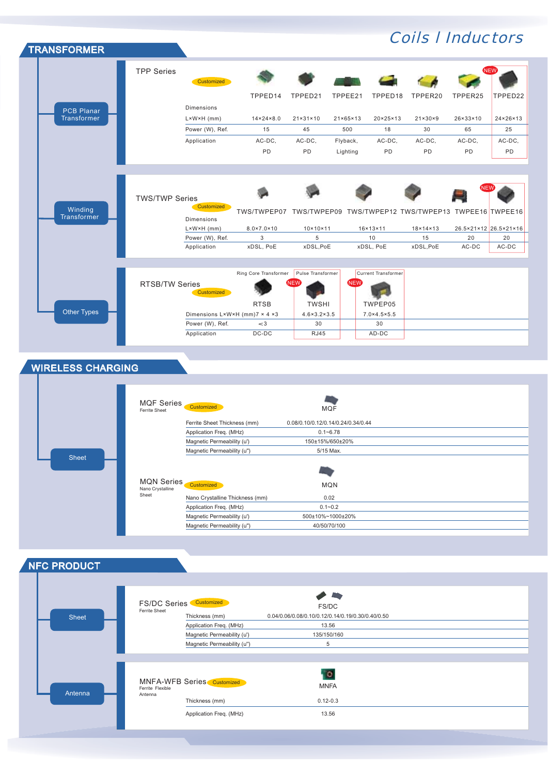| <b>TRANSFORMER</b>               |                       |                                                  |                                 |                                   |                          |                                   |                                | <b>Coils   Inductors</b>    |                          |
|----------------------------------|-----------------------|--------------------------------------------------|---------------------------------|-----------------------------------|--------------------------|-----------------------------------|--------------------------------|-----------------------------|--------------------------|
|                                  | <b>TPP Series</b>     | Customized                                       |                                 |                                   |                          |                                   |                                |                             | <b>NEW</b>               |
|                                  |                       |                                                  | TPPED14                         | TPPED21                           | TPPEE21                  | TPPED18                           | TPPER20                        | TPPER25                     | TPPED22                  |
|                                  |                       | <b>Dimensions</b>                                |                                 |                                   |                          |                                   |                                |                             |                          |
| <b>PCB Planar</b><br>Transformer |                       | $L \times W \times H$ (mm)                       | $14 \times 24 \times 8.0$       | $21 \times 31 \times 10$          | $21 \times 65 \times 13$ | $20 \times 25 \times 13$          | $21 \times 30 \times 9$        | $26 \times 33 \times 10$    | $24 \times 26 \times 13$ |
|                                  |                       | Power (W), Ref.                                  | 15                              | 45                                | 500                      | 18                                | 30                             | 65                          | 25                       |
|                                  |                       | Application                                      | AC-DC,                          | AC-DC,                            | Flyback,                 | AC-DC,                            | AC-DC,                         | AC-DC,                      | AC-DC,                   |
|                                  |                       |                                                  | <b>PD</b>                       | PD                                | Lighting                 | PD                                | PD                             | PD                          | PD                       |
|                                  |                       |                                                  |                                 |                                   |                          |                                   |                                |                             |                          |
| Winding<br><b>Transformer</b>    | <b>TWS/TWP Series</b> | Customized<br><b>Dimensions</b>                  |                                 |                                   |                          |                                   |                                |                             |                          |
|                                  |                       | $L \times W \times H$ (mm)<br>Power (W), Ref.    | $8.0 \times 7.0 \times 10$<br>3 | $10 \times 10 \times 11$<br>5     |                          | $16 \times 13 \times 11$<br>10    | $18 \times 14 \times 13$<br>15 | 26.5×21×12 26.5×21×16<br>20 | 20                       |
|                                  |                       | Application                                      | xDSL, PoE                       | xDSL,PoE                          |                          | xDSL, PoE                         | xDSL,PoE                       | AC-DC                       | AC-DC                    |
|                                  |                       |                                                  |                                 |                                   |                          |                                   |                                |                             |                          |
|                                  | <b>RTSB/TW Series</b> | Customized                                       | Ring Core Transformer           | Pulse Transformer<br>NEW          | <b>NEW</b>               | <b>Current Transformer</b>        |                                |                             |                          |
| <b>Other Types</b>               |                       |                                                  | <b>RTSB</b>                     | <b>TWSHI</b>                      |                          | TWPEP05                           |                                |                             |                          |
|                                  |                       | Dimensions L×W×H (mm)7 × 4 ×3<br>Power (W), Ref. | $<$ 3                           | $4.6 \times 3.2 \times 3.5$<br>30 |                          | $7.0 \times 4.5 \times 5.5$<br>30 |                                |                             |                          |
|                                  |                       | Application                                      | DC-DC                           | <b>RJ45</b>                       |                          | AD-DC                             |                                |                             |                          |
|                                  |                       |                                                  |                                 |                                   |                          |                                   |                                |                             |                          |

### WIRELESS CHARGING

| <b>MQF Series</b><br>Ferrite Sheet    | Customized                      | <b>MQF</b>                         |  |
|---------------------------------------|---------------------------------|------------------------------------|--|
|                                       | Ferrite Sheet Thickness (mm)    | 0.08/0.10/0.12/0.14/0.24/0.34/0.44 |  |
|                                       | Application Freq. (MHz)         | $0.1 - 6.78$                       |  |
|                                       | Magnetic Permeability (u')      | 150±15%/650±20%                    |  |
|                                       | Magnetic Permeability (u")      | 5/15 Max.                          |  |
| <b>Sheet</b>                          |                                 |                                    |  |
| <b>MQN Series</b><br>Nano Crystalline | Customized                      | <b>MQN</b>                         |  |
| Sheet                                 | Nano Crystalline Thickness (mm) | 0.02                               |  |
|                                       | Application Freq. (MHz)         | $0.1 - 0.2$                        |  |
|                                       | Magnetic Permeability (u')      | 500±10%~1000±20%                   |  |
|                                       | Magnetic Permeability (u")      | 40/50/70/100                       |  |

### NFC PRODUCT

| <b>Sheet</b> | <b>FS/DC Series</b><br>Ferrite Sheet | Customized<br>Thickness (mm)<br>Application Freq. (MHz)<br>Magnetic Permeability (u')<br>Magnetic Permeability (u") | <b>Contract of the Contract of the Contract of the Contract of the Contract of the Contract of The Contract of The Contract of The Contract of The Contract of The Contract of The Contract of The Contract of The Contract of T</b><br>FS/DC<br>0.04/0.06/0.08/0.10/0.12/0.14/0.19/0.30/0.40/0.50<br>13.56<br>135/150/160<br>5 |  |
|--------------|--------------------------------------|---------------------------------------------------------------------------------------------------------------------|---------------------------------------------------------------------------------------------------------------------------------------------------------------------------------------------------------------------------------------------------------------------------------------------------------------------------------|--|
| Antenna      | Ferrite Flexible<br>Antenna          | MNFA-WFB Series Customized<br>Thickness (mm)<br>Application Freq. (MHz)                                             | , o<br><b>MNFA</b><br>$0.12 - 0.3$<br>13.56                                                                                                                                                                                                                                                                                     |  |